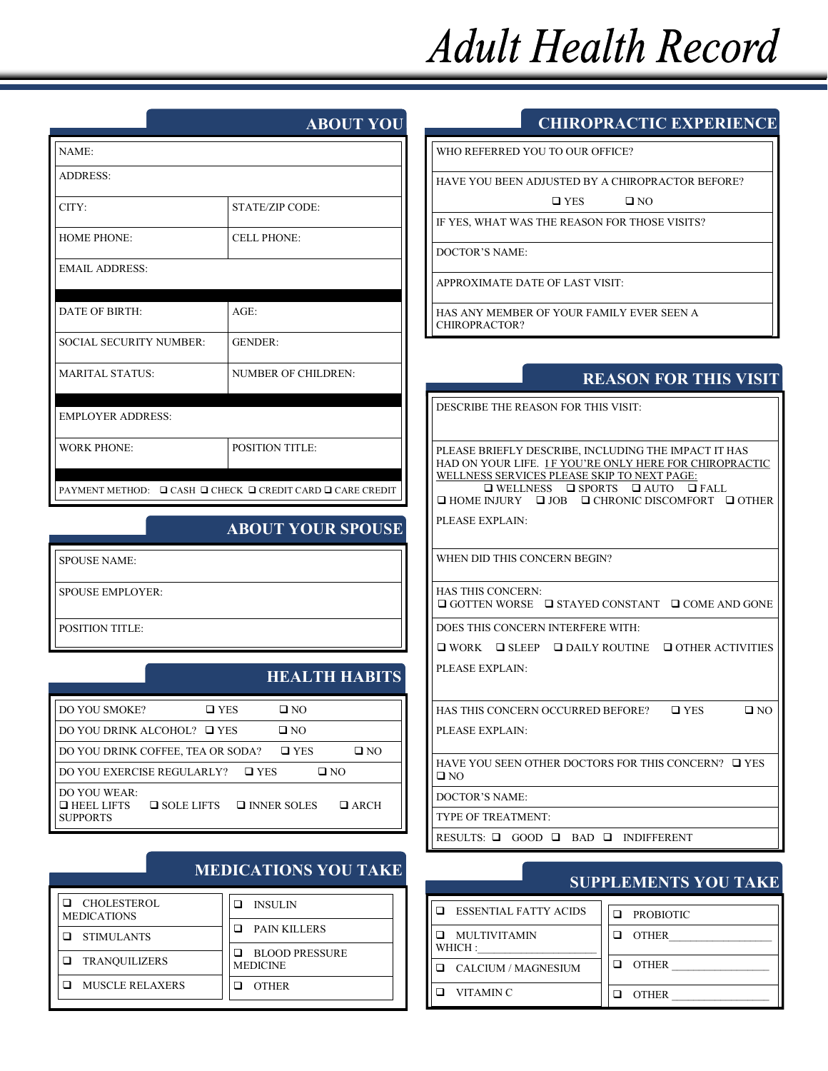# **Adult Health Record**

#### **ABOUT YOU**

| NAME:                                                      |                        |  |  |
|------------------------------------------------------------|------------------------|--|--|
| <b>ADDRESS:</b>                                            |                        |  |  |
| CITY:                                                      | <b>STATE/ZIP CODE:</b> |  |  |
| <b>HOME PHONE:</b>                                         | <b>CELL PHONE:</b>     |  |  |
| <b>EMAIL ADDRESS:</b>                                      |                        |  |  |
| <b>DATE OF BIRTH:</b>                                      | $AGE$ :                |  |  |
| <b>SOCIAL SECURITY NUMBER:</b>                             | <b>GENDER:</b>         |  |  |
| <b>MARITAL STATUS:</b>                                     | NUMBER OF CHILDREN:    |  |  |
| <b>EMPLOYER ADDRESS:</b>                                   |                        |  |  |
| <b>WORK PHONE:</b>                                         | <b>POSITION TITLE:</b> |  |  |
| PAYMENT METHOD: Q CASH Q CHECK Q CREDIT CARD Q CARE CREDIT |                        |  |  |

#### **ABOUT YOUR SPOUSE**

SPOUSE NAME:

SPOUSE EMPLOYER:

POSITION TITLE:

# **HEALTH HABITS**

**MEDICATIONS YOU TAKE**

| <b>DO YOU SMOKE?</b>                                 | $\square$ YES     | O N D                             |
|------------------------------------------------------|-------------------|-----------------------------------|
| DO YOU DRINK ALCOHOL? □ YES                          |                   | $\Box$ NO                         |
| DO YOU DRINK COFFEE, TEA OR SODA?                    |                   | $\square$ YES<br>$\Box$ NO        |
| DO YOU EXERCISE REGULARLY?                           | $\square$ YES     | $\Box$ NO                         |
| DO YOU WEAR:<br>$\Box$ HEEL LIFTS<br><b>SUPPORTS</b> | $\Box$ SOLE LIFTS | $\Box$ INNER SOLES<br>$\Box$ ARCH |

| $\Box$ CHOLESTEROL<br><b>MEDICATIONS</b> | <b>INSULIN</b>                           |
|------------------------------------------|------------------------------------------|
| <b>STIMULANTS</b>                        | <b>PAIN KILLERS</b>                      |
| <b>TRANOUILIZERS</b>                     | <b>BLOOD PRESSURE</b><br><b>MEDICINE</b> |
| <b>MUSCLE RELAXERS</b>                   | <b>OTHER</b>                             |

#### **CHIROPRACTIC EXPERIENCE**

WHO REFERRED YOU TO OUR OFFICE?

HAVE YOU BEEN ADJUSTED BY A CHIROPRACTOR BEFORE?

 $\Box$  YES  $\Box$  NO

IF YES, WHAT WAS THE REASON FOR THOSE VISITS?

DOCTOR'S NAME:

APPROXIMATE DATE OF LAST VISIT:

HAS ANY MEMBER OF YOUR FAMILY EVER SEEN A CHIROPRACTOR?

#### **REASON FOR THIS VISIT**

DESCRIBE THE REASON FOR THIS VISIT:

PLEASE BRIEFLY DESCRIBE, INCLUDING THE IMPACT IT HAS HAD ON YOUR LIFE. IF YOU'RE ONLY HERE FOR CHIROPRACTIC WELLNESS SERVICES PLEASE SKIP TO NEXT PAGE:  $\square \text{ WELINESS} \quad \square \text{ SPORTS} \quad \square \text{ AUTO} \quad \square \text{ FALL}$ 

 $\Box$  HOME INJURY  $\Box$  JOB  $\Box$  CHRONIC DISCOMFORT  $\Box$  OTHER

PLEASE EXPLAIN:

WHEN DID THIS CONCERN BEGIN?

HAS THIS CONCERN:  $\Box$  GOTTEN WORSE  $\Box$  STAYED CONSTANT  $\Box$  COME AND GONE

DOES THIS CONCERN INTERFERE WITH:

 $\Box$  WORK  $\Box$  SLEEP  $\Box$  DAILY ROUTINE  $\Box$  OTHER ACTIVITIES PLEASE EXPLAIN:

HAS THIS CONCERN OCCURRED BEFORE?  $\Box$  YES  $\Box$  NO PLEASE EXPLAIN:

HAVE YOU SEEN OTHER DOCTORS FOR THIS CONCERN?  $\Box$  YES  $\square$  NO

DOCTOR'S NAME:

TYPE OF TREATMENT:

RESULTS:  $\Box$  GOOD  $\Box$  BAD  $\Box$  INDIFFERENT

### **SUPPLEMENTS YOU TAKE**

| <b>ESSENTIAL FATTY ACIDS</b> | <b>PROBIOTIC</b> |
|------------------------------|------------------|
| MULTIVITAMIN<br>WHICH:       | <b>OTHER</b>     |
| CALCIUM / MAGNESIUM          | <b>OTHER</b>     |
| <b>VITAMIN C</b>             | <b>OTHER</b>     |